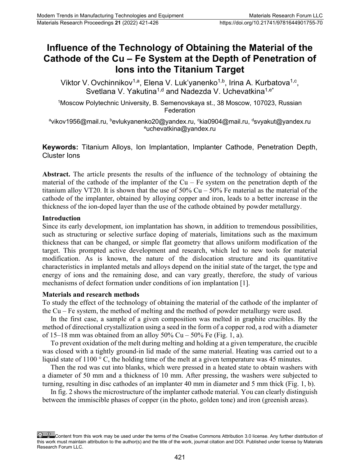# **Influence of the Technology of Obtaining the Material of the Cathode of the Cu – Fe System at the Depth of Penetration of Ions into the Titanium Target**

Viktor V. Ovchinnikov<sup>1,a</sup>, Elena V. Luk'yanenko<sup>1,b</sup>, Irina A. Kurbatova<sup>1,c</sup>, Svetlana V. Yakutina<sup>1,d</sup> and Nadezda V. Uchevatkina<sup>1,e\*</sup>

1 Moscow Polytechnic University, B. Semenovskaya st., 38 Moscow, 107023, Russian **Federation** 

<sup>a</sup>vikov1956@mail.ru, <sup>b</sup>evlukyanenko20@yandex.ru, <sup>c</sup>kia0904@mail.ru, <sup>d</sup>svyakut@yandex.ru e uchevatkina@yandex.ru

**Keywords:** Titanium Alloys, Ion Implantation, Implanter Cathode, Penetration Depth, Cluster Ions

**Abstract.** The article presents the results of the influence of the technology of obtaining the material of the cathode of the implanter of the  $Cu$  – Fe system on the penetration depth of the titanium alloy VT20. It is shown that the use of  $50\%$  Cu –  $50\%$  Fe material as the material of the cathode of the implanter, obtained by alloying copper and iron, leads to a better increase in the thickness of the ion-doped layer than the use of the cathode obtained by powder metallurgy.

## **Introduction**

Since its early development, ion implantation has shown, in addition to tremendous possibilities, such as structuring or selective surface doping of materials, limitations such as the maximum thickness that can be changed, or simple flat geometry that allows uniform modification of the target. This prompted active development and research, which led to new tools for material modification. As is known, the nature of the dislocation structure and its quantitative characteristics in implanted metals and alloys depend on the initial state of the target, the type and energy of ions and the remaining dose, and can vary greatly, therefore, the study of various mechanisms of defect formation under conditions of ion implantation [1].

## **Materials and research methods**

To study the effect of the technology of obtaining the material of the cathode of the implanter of the Cu – Fe system, the method of melting and the method of powder metallurgy were used.

In the first case, a sample of a given composition was melted in graphite crucibles. By the method of directional crystallization using a seed in the form of a copper rod, a rod with a diameter of 15–18 mm was obtained from an alloy  $50\%$  Cu –  $50\%$  Fe (Fig. 1, a).

To prevent oxidation of the melt during melting and holding at a given temperature, the crucible was closed with a tightly ground-in lid made of the same material. Heating was carried out to a liquid state of  $1100^{\circ}$  C, the holding time of the melt at a given temperature was 45 minutes.

Then the rod was cut into blanks, which were pressed in a heated state to obtain washers with a diameter of 50 mm and a thickness of 10 mm. After pressing, the washers were subjected to turning, resulting in disc cathodes of an implanter 40 mm in diameter and 5 mm thick (Fig. 1, b).

In fig. 2 shows the microstructure of the implanter cathode material. You can clearly distinguish between the immiscible phases of copper (in the photo, golden tone) and iron (greenish areas).

Content from this work may be used under the terms of the Creative Commons Attribution 3.0 license. Any further distribution of this work must maintain attribution to the author(s) and the title of the work, journal citation and DOI. Published under license by Materials Research Forum LLC.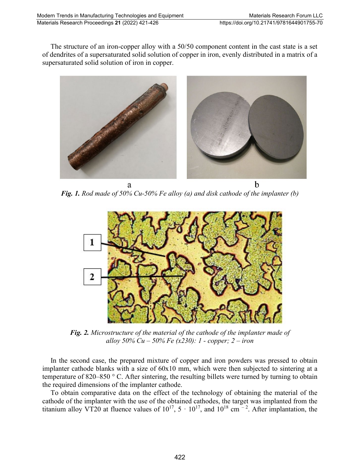The structure of an iron-copper alloy with a 50/50 component content in the cast state is a set of dendrites of a supersaturated solid solution of copper in iron, evenly distributed in a matrix of a supersaturated solid solution of iron in copper.



*Fig. 1. Rod made of 50% Cu-50% Fe alloy (a) and disk cathode of the implanter (b)*



*Fig. 2. Microstructure of the material of the cathode of the implanter made of alloy 50% Cu – 50% Fe (x230): 1 - copper; 2 – iron*

In the second case, the prepared mixture of copper and iron powders was pressed to obtain implanter cathode blanks with a size of 60x10 mm, which were then subjected to sintering at a temperature of 820–850 ° C. After sintering, the resulting billets were turned by turning to obtain the required dimensions of the implanter cathode.

To obtain comparative data on the effect of the technology of obtaining the material of the cathode of the implanter with the use of the obtained cathodes, the target was implanted from the titanium alloy VT20 at fluence values of  $10^{17}$ ,  $5 \cdot 10^{17}$ , and  $10^{18}$  cm  $^{-2}$ . After implantation, the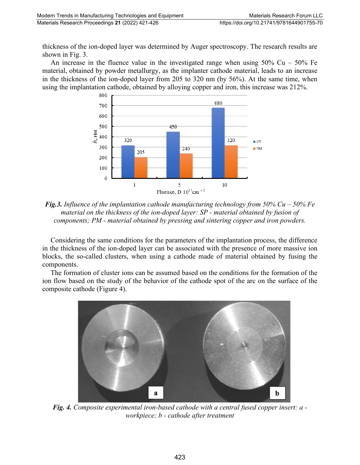thickness of the ion-doped layer was determined by Auger spectroscopy. The research results are shown in Fig. 3.

An increase in the fluence value in the investigated range when using  $50\%$  Cu –  $50\%$  Fe material, obtained by powder metallurgy, as the implanter cathode material, leads to an increase in the thickness of the ion-doped layer from 205 to 320 nm (by 56%). At the same time, when using the implantation cathode, obtained by alloying copper and iron, this increase was 212%.



*Fig.3. Influence of the implantation cathode manufacturing technology from 50% Cu – 50% Fe material on the thickness of the ion-doped layer: SP - material obtained by fusion of components; PM - material obtained by pressing and sintering copper and iron powders.*

Considering the same conditions for the parameters of the implantation process, the difference in the thickness of the ion-doped layer can be associated with the presence of more massive ion blocks, the so-called clusters, when using a cathode made of material obtained by fusing the components.

The formation of cluster ions can be assumed based on the conditions for the formation of the ion flow based on the study of the behavior of the cathode spot of the arc on the surface of the composite cathode (Figure 4).



*Fig. 4. Composite experimental iron-based cathode with a central fused copper insert: a workpiece; b - cathode after treatment*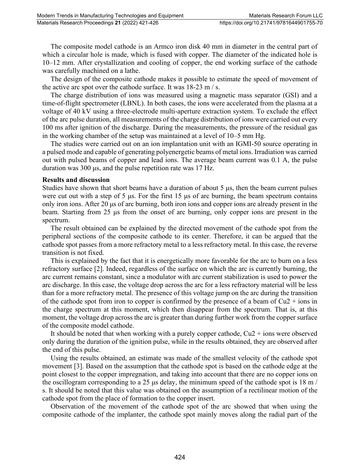The composite model cathode is an Armco iron disk 40 mm in diameter in the central part of which a circular hole is made, which is fused with copper. The diameter of the indicated hole is 10–12 mm. After crystallization and cooling of copper, the end working surface of the cathode was carefully machined on a lathe.

The design of the composite cathode makes it possible to estimate the speed of movement of the active arc spot over the cathode surface. It was 18-23 m / s.

The charge distribution of ions was measured using a magnetic mass separator (GSI) and a time-of-flight spectrometer (LBNL). In both cases, the ions were accelerated from the plasma at a voltage of 40 kV using a three-electrode multi-aperture extraction system. To exclude the effect of the arc pulse duration, all measurements of the charge distribution of ions were carried out every 100 ms after ignition of the discharge. During the measurements, the pressure of the residual gas in the working chamber of the setup was maintained at a level of 10–5 mm Hg.

The studies were carried out on an ion implantation unit with an IGMI-50 source operating in a pulsed mode and capable of generating polyenergetic beams of metal ions. Irradiation was carried out with pulsed beams of copper and lead ions. The average beam current was 0.1 A, the pulse duration was 300 μs, and the pulse repetition rate was 17 Hz.

#### **Results and discussion**

Studies have shown that short beams have a duration of about 5 μs, then the beam current pulses were cut out with a step of 5 μs. For the first 15 μs of arc burning, the beam spectrum contains only iron ions. After 20 μs of arc burning, both iron ions and copper ions are already present in the beam. Starting from 25 μs from the onset of arc burning, only copper ions are present in the spectrum.

The result obtained can be explained by the directed movement of the cathode spot from the peripheral sections of the composite cathode to its center. Therefore, it can be argued that the cathode spot passes from a more refractory metal to a less refractory metal. In this case, the reverse transition is not fixed.

This is explained by the fact that it is energetically more favorable for the arc to burn on a less refractory surface [2]. Indeed, regardless of the surface on which the arc is currently burning, the arc current remains constant, since a modulator with arc current stabilization is used to power the arc discharge. In this case, the voltage drop across the arc for a less refractory material will be less than for a more refractory metal. The presence of this voltage jump on the arc during the transition of the cathode spot from iron to copper is confirmed by the presence of a beam of  $Cu2 + ions$  in the charge spectrum at this moment, which then disappear from the spectrum. That is, at this moment, the voltage drop across the arc is greater than during further work from the copper surface of the composite model cathode.

It should be noted that when working with a purely copper cathode,  $Cu2 + ions$  were observed only during the duration of the ignition pulse, while in the results obtained, they are observed after the end of this pulse.

Using the results obtained, an estimate was made of the smallest velocity of the cathode spot movement [3]. Based on the assumption that the cathode spot is based on the cathode edge at the point closest to the copper impregnation, and taking into account that there are no copper ions on the oscillogram corresponding to a 25 μs delay, the minimum speed of the cathode spot is 18 m/ s. It should be noted that this value was obtained on the assumption of a rectilinear motion of the cathode spot from the place of formation to the copper insert.

Observation of the movement of the cathode spot of the arc showed that when using the composite cathode of the implanter, the cathode spot mainly moves along the radial part of the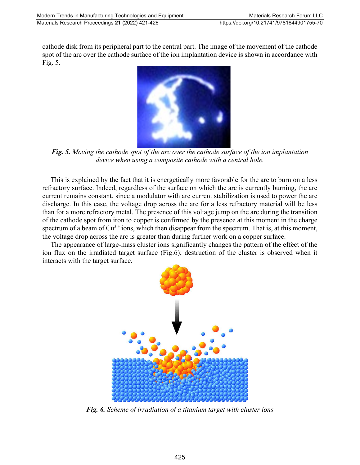cathode disk from its peripheral part to the central part. The image of the movement of the cathode spot of the arc over the cathode surface of the ion implantation device is shown in accordance with Fig. 5.



*Fig. 5. Moving the cathode spot of the arc over the cathode surface of the ion implantation device when using a composite cathode with a central hole.*

This is explained by the fact that it is energetically more favorable for the arc to burn on a less refractory surface. Indeed, regardless of the surface on which the arc is currently burning, the arc current remains constant, since a modulator with arc current stabilization is used to power the arc discharge. In this case, the voltage drop across the arc for a less refractory material will be less than for a more refractory metal. The presence of this voltage jump on the arc during the transition of the cathode spot from iron to copper is confirmed by the presence at this moment in the charge spectrum of a beam of  $Cu^{3+}$  ions, which then disappear from the spectrum. That is, at this moment, the voltage drop across the arc is greater than during further work on a copper surface.

The appearance of large-mass cluster ions significantly changes the pattern of the effect of the ion flux on the irradiated target surface (Fig.6); destruction of the cluster is observed when it interacts with the target surface.



*Fig. 6. Scheme of irradiation of a titanium target with cluster ions*